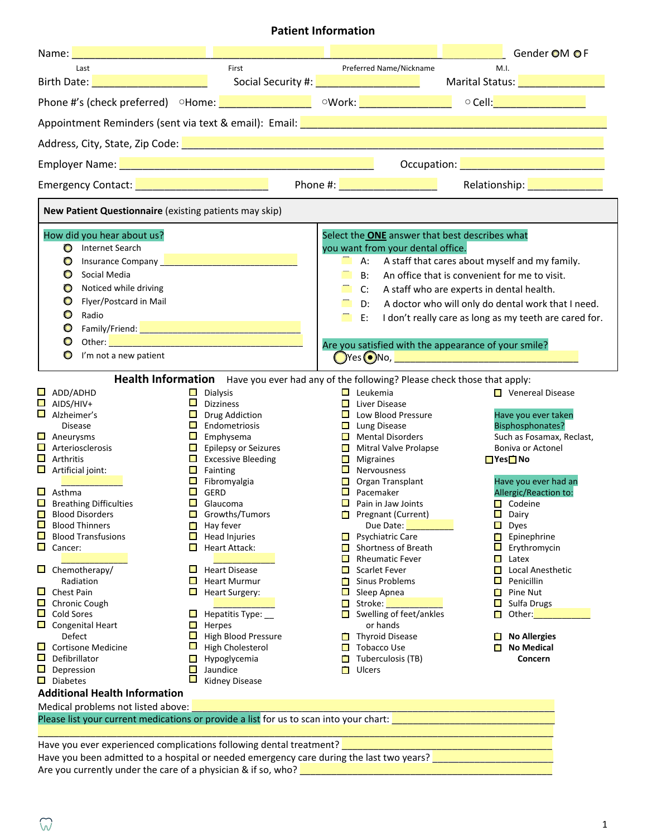# **Patient Information**

|                                                                                                                                                                                                                                                                                                                                                                                                                                                                                                                                                                                                                                            |                                                                                                                                                                                                                                                                                                       |                                                                                                                                                                                                                                                                                                                                                                                                                                              |                                                            |                                                                                                                                                                                                                                                                                                                                                                                                                                                                                                                                                                                                                                    |                                                                               | Gender OM OF                                                                                                                                                                                                                                                                                                                                                                                                                           |  |  |  |
|--------------------------------------------------------------------------------------------------------------------------------------------------------------------------------------------------------------------------------------------------------------------------------------------------------------------------------------------------------------------------------------------------------------------------------------------------------------------------------------------------------------------------------------------------------------------------------------------------------------------------------------------|-------------------------------------------------------------------------------------------------------------------------------------------------------------------------------------------------------------------------------------------------------------------------------------------------------|----------------------------------------------------------------------------------------------------------------------------------------------------------------------------------------------------------------------------------------------------------------------------------------------------------------------------------------------------------------------------------------------------------------------------------------------|------------------------------------------------------------|------------------------------------------------------------------------------------------------------------------------------------------------------------------------------------------------------------------------------------------------------------------------------------------------------------------------------------------------------------------------------------------------------------------------------------------------------------------------------------------------------------------------------------------------------------------------------------------------------------------------------------|-------------------------------------------------------------------------------|----------------------------------------------------------------------------------------------------------------------------------------------------------------------------------------------------------------------------------------------------------------------------------------------------------------------------------------------------------------------------------------------------------------------------------------|--|--|--|
| Last                                                                                                                                                                                                                                                                                                                                                                                                                                                                                                                                                                                                                                       |                                                                                                                                                                                                                                                                                                       | First                                                                                                                                                                                                                                                                                                                                                                                                                                        | Preferred Name/Nickname<br>M.I.                            |                                                                                                                                                                                                                                                                                                                                                                                                                                                                                                                                                                                                                                    |                                                                               |                                                                                                                                                                                                                                                                                                                                                                                                                                        |  |  |  |
| Birth Date: <u>December 2008</u>                                                                                                                                                                                                                                                                                                                                                                                                                                                                                                                                                                                                           |                                                                                                                                                                                                                                                                                                       |                                                                                                                                                                                                                                                                                                                                                                                                                                              |                                                            | Social Security #: <u>______________________</u>                                                                                                                                                                                                                                                                                                                                                                                                                                                                                                                                                                                   |                                                                               | Marital Status: Value 2014                                                                                                                                                                                                                                                                                                                                                                                                             |  |  |  |
|                                                                                                                                                                                                                                                                                                                                                                                                                                                                                                                                                                                                                                            |                                                                                                                                                                                                                                                                                                       |                                                                                                                                                                                                                                                                                                                                                                                                                                              |                                                            |                                                                                                                                                                                                                                                                                                                                                                                                                                                                                                                                                                                                                                    |                                                                               |                                                                                                                                                                                                                                                                                                                                                                                                                                        |  |  |  |
|                                                                                                                                                                                                                                                                                                                                                                                                                                                                                                                                                                                                                                            |                                                                                                                                                                                                                                                                                                       |                                                                                                                                                                                                                                                                                                                                                                                                                                              |                                                            |                                                                                                                                                                                                                                                                                                                                                                                                                                                                                                                                                                                                                                    |                                                                               |                                                                                                                                                                                                                                                                                                                                                                                                                                        |  |  |  |
|                                                                                                                                                                                                                                                                                                                                                                                                                                                                                                                                                                                                                                            |                                                                                                                                                                                                                                                                                                       |                                                                                                                                                                                                                                                                                                                                                                                                                                              |                                                            |                                                                                                                                                                                                                                                                                                                                                                                                                                                                                                                                                                                                                                    |                                                                               |                                                                                                                                                                                                                                                                                                                                                                                                                                        |  |  |  |
| Occupation: <u>2000 - 2000 - 2000 - 2000 - 2000 - 2000 - 2000 - 2000 - 2000 - 2000 - 2000 - 2000 - 2000 - 2000 -</u>                                                                                                                                                                                                                                                                                                                                                                                                                                                                                                                       |                                                                                                                                                                                                                                                                                                       |                                                                                                                                                                                                                                                                                                                                                                                                                                              |                                                            |                                                                                                                                                                                                                                                                                                                                                                                                                                                                                                                                                                                                                                    |                                                                               |                                                                                                                                                                                                                                                                                                                                                                                                                                        |  |  |  |
| Emergency Contact: University Processor Contact:                                                                                                                                                                                                                                                                                                                                                                                                                                                                                                                                                                                           |                                                                                                                                                                                                                                                                                                       |                                                                                                                                                                                                                                                                                                                                                                                                                                              |                                                            |                                                                                                                                                                                                                                                                                                                                                                                                                                                                                                                                                                                                                                    |                                                                               |                                                                                                                                                                                                                                                                                                                                                                                                                                        |  |  |  |
| New Patient Questionnaire (existing patients may skip)                                                                                                                                                                                                                                                                                                                                                                                                                                                                                                                                                                                     |                                                                                                                                                                                                                                                                                                       |                                                                                                                                                                                                                                                                                                                                                                                                                                              |                                                            |                                                                                                                                                                                                                                                                                                                                                                                                                                                                                                                                                                                                                                    |                                                                               |                                                                                                                                                                                                                                                                                                                                                                                                                                        |  |  |  |
| How did you hear about us?<br><b>D</b> Internet Search<br>Insurance Company <b>Manual According to the Company</b><br>$\bullet$<br>Social Media<br>$\bullet$<br>Noticed while driving<br>$\circ$<br>Flyer/Postcard in Mail<br>$\bullet$<br>$\circ$<br>Radio<br>O<br>O<br>$\circ$<br>I'm not a new patient                                                                                                                                                                                                                                                                                                                                  |                                                                                                                                                                                                                                                                                                       |                                                                                                                                                                                                                                                                                                                                                                                                                                              | $\blacksquare$<br>n                                        | Select the <b>ONE</b> answer that best describes what<br>you want from your dental office.<br>$A$ :<br>B: An office that is convenient for me to visit.<br>C:<br>D:<br>E:<br>Are you satisfied with the appearance of your smile?<br>$\bigcirc$ Yes $\bigcirc$ No, $\bigcirc$                                                                                                                                                                                                                                                                                                                                                      | A staff who are experts in dental health.                                     | A staff that cares about myself and my family.<br>A doctor who will only do dental work that I need.<br>I don't really care as long as my teeth are cared for.                                                                                                                                                                                                                                                                         |  |  |  |
|                                                                                                                                                                                                                                                                                                                                                                                                                                                                                                                                                                                                                                            |                                                                                                                                                                                                                                                                                                       | Health Information Have you ever had any of the following? Please check those that apply:                                                                                                                                                                                                                                                                                                                                                    |                                                            |                                                                                                                                                                                                                                                                                                                                                                                                                                                                                                                                                                                                                                    |                                                                               |                                                                                                                                                                                                                                                                                                                                                                                                                                        |  |  |  |
| $\Box$ ADD/ADHD<br>$\Box$ AIDS/HIV+<br>$\Box$ Alzheimer's<br><b>Disease</b><br>$\Box$ Aneurysms<br>$\Box$ Arteriosclerosis<br>$\Box$ Arthritis<br>$\Box$ Artificial joint:<br>$\Box$ Asthma<br>$\Box$ Breathing Difficulties<br>$\Box$ Blood Disorders<br>$\Box$<br><b>Blood Thinners</b><br>$\mathcal{L}_{\mathcal{A}}$<br><b>Blood Transfusions</b><br>$\Box$ Cancer:<br>$\Box$ Chemotherapy/<br>Radiation<br>$\Box$ Chest Pain<br>Chronic Cough<br>Cold Sores<br>$\Box$ Congenital Heart<br>Defect<br>$\Box$ Cortisone Medicine<br>$\Box$ Defibrillator<br>$\Box$ Depression<br>$\Box$ Diabetes<br><b>Additional Health Information</b> | $\blacksquare$<br>$\Box$<br>$\Box$<br>$\Box$<br>$\Box$ Fainting<br>$\Box$<br>GERD<br>$\Box$ Glaucoma<br>$\Box$<br>$\mathcal{L}_{\mathcal{A}}$<br>$\Box$<br>$\sim$<br>$\mathcal{L}_{\mathcal{A}}$<br>$\Box$<br>$\Box$<br>$\mathcal{L}_{\mathcal{A}}$<br>$\Box$<br>$\Box$<br>$\Box$<br>$\Box$<br>$\Box$ | Dialysis<br><b>Dizziness</b><br><b>Drug Addiction</b><br>$\Box$ Endometriosis<br>Emphysema<br>$\Box$ Epilepsy or Seizures<br>$\Box$ Excessive Bleeding<br>Fibromyalgia<br>Growths/Tumors<br>Hay fever<br><b>Head Injuries</b><br>Heart Attack:<br><b>Heart Disease</b><br><b>Heart Murmur</b><br><b>Heart Surgery:</b><br>Hepatitis Type:<br>Herpes<br>High Blood Pressure<br>High Cholesterol<br>Hypoglycemia<br>Jaundice<br>Kidney Disease | $\mathcal{L}_{\mathcal{A}}$<br>$\mathcal{L}_{\mathcal{A}}$ | $\Box$ Leukemia<br>$\Box$ Liver Disease<br><b>L</b> Low Blood Pressure<br>$\Box$ Lung Disease<br>$\Box$ Mental Disorders<br><b>Mitral Valve Prolapse</b><br><b>Nigraines</b><br>$\blacksquare$ Nervousness<br>$\Box$ Organ Transplant<br>$\Box$ Pacemaker<br>$\Box$ Pain in Jaw Joints<br>Pregnant (Current)<br>Due Date:<br>$\Box$ Psychiatric Care<br>$\Box$ Shortness of Breath<br><b>Rheumatic Fever</b><br>$\Box$ Scarlet Fever<br><b>Sinus Problems</b><br>$\Box$ Sleep Apnea<br>Stroke:<br>$\Box$ Swelling of feet/ankles<br>or hands<br>$\Box$ Thyroid Disease<br>$\Box$ Tobacco Use<br>$\Box$ Tuberculosis (TB)<br>Ulcers | $\mathbf{L}$<br>$\Box$<br>$\Box$<br>$\Box$<br>$\Box$<br>$\Box$<br>$\Box$<br>П | <b>■</b> Venereal Disease<br>Have you ever taken<br><b>Bisphosphonates?</b><br>Such as Fosamax, Reclast,<br>Boniva or Actonel<br>$\Box$ Yes $\Box$ No<br>Have you ever had an<br><b>Allergic/Reaction to:</b><br><b>□</b> Codeine<br>Dairy<br>$\Box$ Dyes<br>$\Box$ Epinephrine<br>Erythromycin<br>Latex<br>Local Anesthetic<br>Penicillin<br>Pine Nut<br>Sulfa Drugs<br>Other:<br><b>No Allergies</b><br><b>No Medical</b><br>Concern |  |  |  |
| Medical problems not listed above:                                                                                                                                                                                                                                                                                                                                                                                                                                                                                                                                                                                                         |                                                                                                                                                                                                                                                                                                       |                                                                                                                                                                                                                                                                                                                                                                                                                                              |                                                            |                                                                                                                                                                                                                                                                                                                                                                                                                                                                                                                                                                                                                                    |                                                                               |                                                                                                                                                                                                                                                                                                                                                                                                                                        |  |  |  |
| Please list your current medications or provide a list for us to scan into your chart:                                                                                                                                                                                                                                                                                                                                                                                                                                                                                                                                                     |                                                                                                                                                                                                                                                                                                       |                                                                                                                                                                                                                                                                                                                                                                                                                                              |                                                            |                                                                                                                                                                                                                                                                                                                                                                                                                                                                                                                                                                                                                                    |                                                                               |                                                                                                                                                                                                                                                                                                                                                                                                                                        |  |  |  |

 $\overline{a}$  , and the set of the set of the set of the set of the set of the set of the set of the set of the set of the set of the set of the set of the set of the set of the set of the set of the set of the set of the set Have you ever experienced complications following dental treatment? \_\_\_\_\_\_\_\_\_\_\_\_\_\_\_\_\_\_\_\_\_\_\_\_\_\_\_\_\_\_\_\_\_\_\_\_\_\_\_\_

Have you been admitted to a hospital or needed emergency care during the last two years? \_\_\_\_\_\_\_\_\_\_\_\_\_\_\_\_\_\_\_\_\_ Are you currently under the care of a physician & if so, who? \_\_\_\_\_\_\_\_\_\_\_\_\_\_\_\_\_\_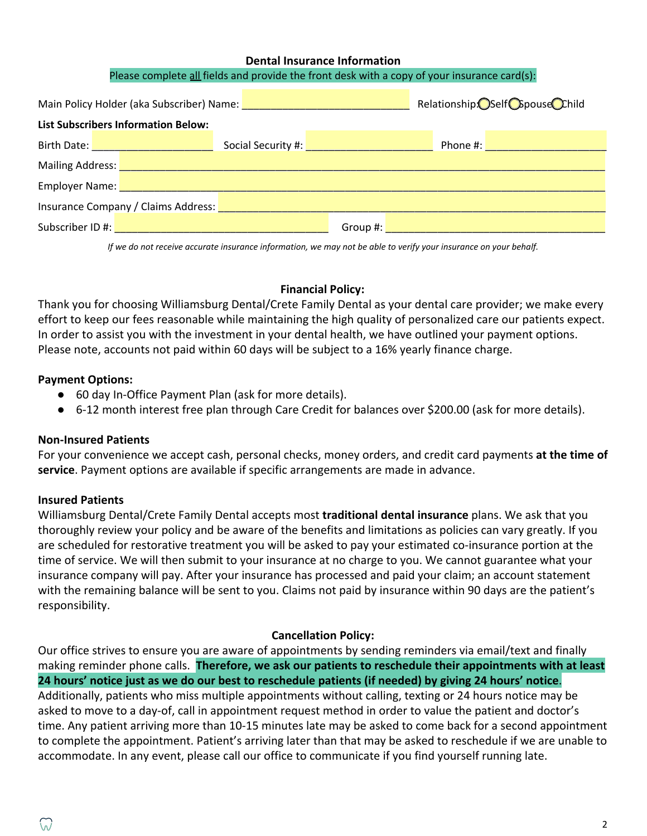#### **Dental Insurance Information**

#### Please complete all fields and provide the front desk with a copy of your insurance card(s):

|                                                        | Main Policy Holder (aka Subscriber) Name: Name: Name: Name: Name: Name: Name: Name: Name: Name: Name: Name: Name: Name: Name: Name: Name: Name: Name: Name: Name: Name: Name: Name: Name: Name: Name: Name: Name: Name: Name:  | Relationship: Self Copouse Child                                                                |  |  |  |  |  |
|--------------------------------------------------------|--------------------------------------------------------------------------------------------------------------------------------------------------------------------------------------------------------------------------------|-------------------------------------------------------------------------------------------------|--|--|--|--|--|
| <b>List Subscribers Information Below:</b>             |                                                                                                                                                                                                                                |                                                                                                 |  |  |  |  |  |
| Birth Date: New York District Party of the Birth Date: |                                                                                                                                                                                                                                | Social Security #: Network of the Social Security #:<br>Phone #: <u>_______________________</u> |  |  |  |  |  |
|                                                        | Mailing Address: National Address: National Address: National Address: National Address: National Address: National Address: National Address: National Address: National Address: National Address: National Address: Nationa |                                                                                                 |  |  |  |  |  |
|                                                        |                                                                                                                                                                                                                                |                                                                                                 |  |  |  |  |  |
| Insurance Company / Claims Address:                    |                                                                                                                                                                                                                                |                                                                                                 |  |  |  |  |  |
|                                                        | Subscriber ID #: New York 2014                                                                                                                                                                                                 | Group #:                                                                                        |  |  |  |  |  |

*If we do not receive accurate insurance information, we may not be able to verify your insurance on your behalf.*

#### **Financial Policy:**

Thank you for choosing Williamsburg Dental/Crete Family Dental as your dental care provider; we make every effort to keep our fees reasonable while maintaining the high quality of personalized care our patients expect. In order to assist you with the investment in your dental health, we have outlined your payment options. Please note, accounts not paid within 60 days will be subject to a 16% yearly finance charge.

### **Payment Options:**

- 60 day In-Office Payment Plan (ask for more details).
- 6-12 month interest free plan through Care Credit for balances over \$200.00 (ask for more details).

### **Non-Insured Patients**

For your convenience we accept cash, personal checks, money orders, and credit card payments **at the time of service**. Payment options are available if specific arrangements are made in advance.

### **Insured Patients**

Williamsburg Dental/Crete Family Dental accepts most **traditional dental insurance** plans. We ask that you thoroughly review your policy and be aware of the benefits and limitations as policies can vary greatly. If you are scheduled for restorative treatment you will be asked to pay your estimated co-insurance portion at the time of service. We will then submit to your insurance at no charge to you. We cannot guarantee what your insurance company will pay. After your insurance has processed and paid your claim; an account statement with the remaining balance will be sent to you. Claims not paid by insurance within 90 days are the patient's responsibility.

#### **Cancellation Policy:**

Our office strives to ensure you are aware of appointments by sending reminders via email/text and finally making reminder phone calls. **Therefore, we ask our patients to reschedule their appointments with at least 24 hours' notice just as we do our best to reschedule patients (if needed) by giving 24 hours' notice**. Additionally, patients who miss multiple appointments without calling, texting or 24 hours notice may be asked to move to a day-of, call in appointment request method in order to value the patient and doctor's time. Any patient arriving more than 10-15 minutes late may be asked to come back for a second appointment to complete the appointment. Patient's arriving later than that may be asked to reschedule if we are unable to accommodate. In any event, please call our office to communicate if you find yourself running late.